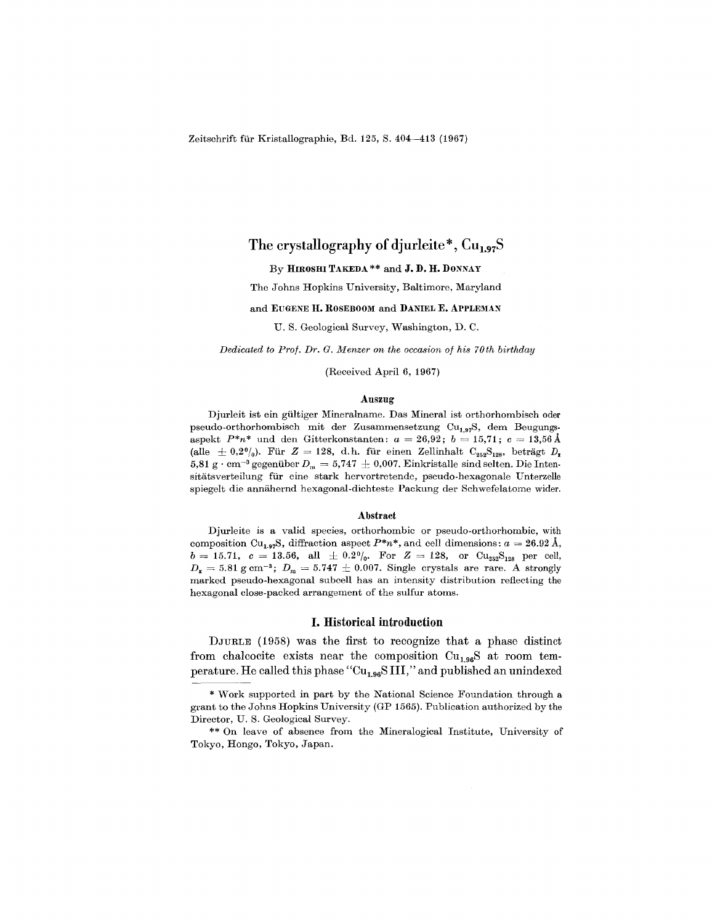Zeitschrift fur Kristallographie, Bd. 125, S. 404-413 (1967)

# The crystallography of djurleite\*,  $Cu<sub>1.97</sub>S$

# By HIROSHI TAKEDA\*\* and J. D. H. DONNAY

The Johns Hopkins University, Baltimore, Maryland

#### and EUGENE H. ROSEBOOM and DANIEL E. APPLEMAN

U. S. Geological Survey, Washington, D. O.

*Dedicated to Prof. Dr. G. Menzer on the occasion of his 70th birthday*

(Received April 6, 1967)

#### Auszug

Djurleit ist ein gultiger Mineralname. Das Mineral ist orthorhombisch oder pseudo-orthorhombisch mit der Zusammensetzung Cu<sub>1,97</sub>S, dem Beugungs $a = 26.92; b = 15.71; c = 13.56 \text{ Å}$ (alle  $\pm$  0,2%). Für  $Z = 128$ , d. h. für einen Zellinhalt  $\mathrm{C_{252}S_{128}}$ , beträgt  $D_r$  $5{,}81~{\rm g\cdot cm^{-3}}$  gegenüber  $D_{\rm m}=5{,}747~\pm~0{,}007.$  Einkristalle sind selten. Die Inter sitatsverteilung fiir eine stark hervortretende, pseudo-hexagonale Unterzelle spiegelt die annähernd hexagonal-dichteste Packung der Schwefelatome wider.

#### Abstract

Djurleite is a valid species, orthorhombic or pseudo-orthorhombic, with composition Cu<sub>1.97</sub>S, diffraction aspect  $P^*n^*$ , and cell dimensions:  $a = 26.92 \text{ Å}$ ,  $b = 15.71, \;\; c = 13.56, \;\; \mathrm{all} \;\; \pm \; 0.2 \%, \;\; \mathrm{For} \;\; Z = 128, \;\; \mathrm{or} \;\; \mathrm{Cu}_{252} \mathrm{S}_{128} \;\; \mathrm{per} \;\; \mathrm{cell},$  $D_x = 5.81$  g cm<sup>-3</sup>;  $D_m = 5.747 \pm 0.007$ . Single crystals are rare. A strongly marked pseudo-hexagonal subcell has an intensity distribution reflecting the hexagonal close-packed arrangement of the sulfur atoms.

## I. Historical introduction

DJURLE (1958) was the first to recognize that a phase distinct from chalcocite exists near the composition  $Cu<sub>1.96</sub>S$  at room temperature. He called this phase " $Cu<sub>1.96</sub>S III$ ," and published an unindexed

grant to the Johns Hopkins University (GP 1565). Publication authorized by the Work supported in part by the National Science Foundation through a Director, U. S. Geological Survey.

Tokyo, Hongo, Tokyo, Japa On leave of absence from the Mineralogical Institute, University of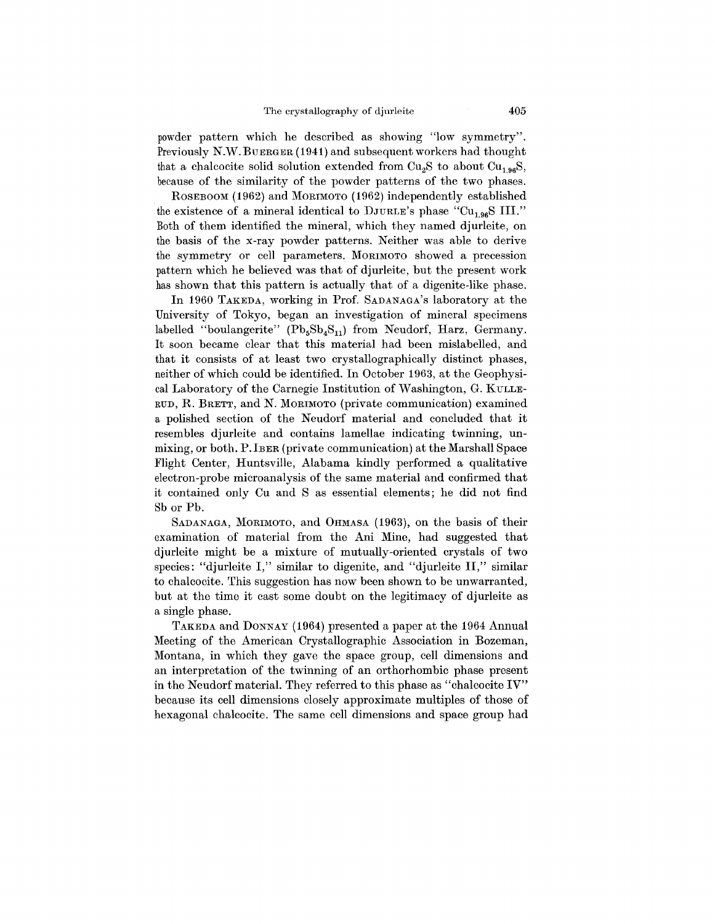powder pattern which he described as showing "low symmetry". Previously N.W.BUERGER (1941) and subsequent workers had thought that a chalcocite solid solution extended from  $Cu<sub>2</sub>S$  to about  $Cu<sub>1.96</sub>S$ , because of the similarity of the powder patterns of the two phases.

ROSEBOOM (1962) and MORIMOTO (1962) independently established the existence of a mineral identical to  $\text{DJURLE's phase}$  "Cu<sub>1.96</sub>S III." Both of them identified the mineral, which they named djurleite, on the basis of the x-ray powder patterns. Neither was able to derive the symmetry or cell parameters. MORIMOTO showed a precession pattern which he believed was that of djurleite, but the present work has shown that this pattern is actually that of a digenite-like phase.

In 1960 TAKEDA, working in Prof. SADANAGA's laboratory at the University of Tokyo, began an investigation of mineral specimens labelled "boulangerite"  $(Pb_5Sb_4S_{11})$  from Neudorf, Harz, Germany. It soon became clear that this material had been mislabelled, and that it consists of at least two crystallographically distinct phases, neither of which could be identified. **In** October 1963, at the Geophysical Laboratory of the Carnegie Institution of Washington, G. KULLE-RUD, R. BRETT, and N. MORIMOTO (private communication) examined a polished section of the Neudorf material and concluded that it resembles djurleite and contains lamellae indicating twinning, unmixing, or both. P.IBER (private communication) at the Marshall Space Flight Center, Huntsville, Alabama kindly performed a qualitative electron-probe microanalysis of the same material and confirmed that it contained only Cu and S as essential elements; he did not find 8b or Pb.

SADANAGA, MORIMOTO, and OHMASA (1963), on the basis of their examination of material from the Ani Mine, had suggested that djurleite might be a mixture of mutually-oriented crystals of two species: "djurleite I," similar to digenite, and "djurleite II," similar to chalcocite. This suggestion has now been shown to be unwarranted, but at the time it cast some doubt on the legitimacy of djurleite as a single phase.

TAKEDA and DONNAY (1964) presented a paper at the 1964 Annual Meeting of the American Crystallographic Association in Bozeman, Montana, in which they gave the space group, cell dimensions and an interpretation of the twinning of an orthorhombic phase present in the Neudorf material. They referred to this phase as "chalcocite  $IV$ " because its cell dimensions closely approximate multiples of those of hexagonal chalcocite. The same cell dimensions and space group had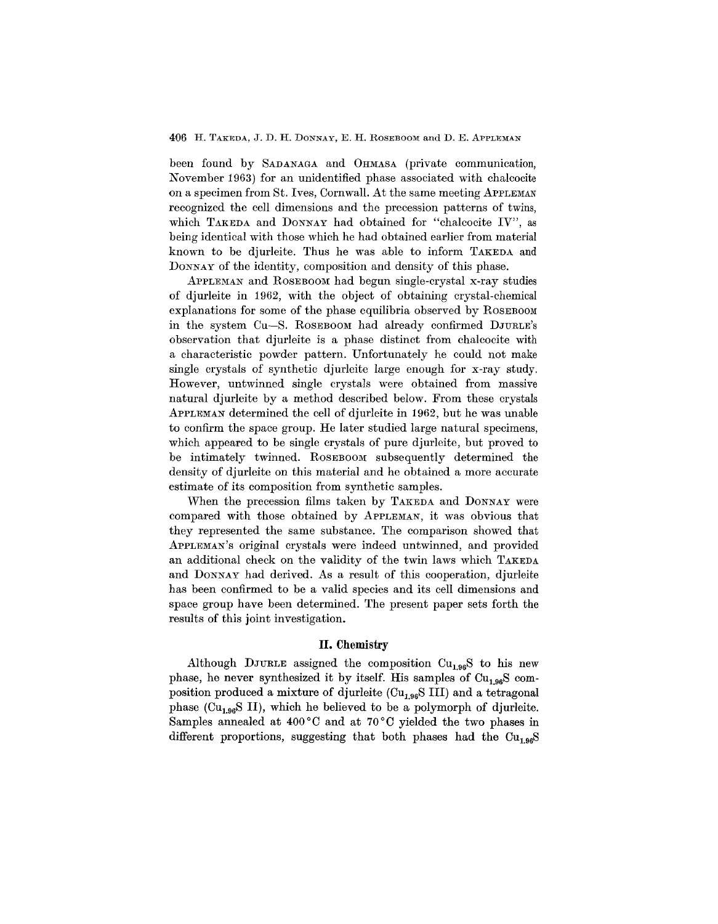# 406 H. TAKEDA, J. D. H. DONNAY, E. H. ROSEBOOM and D. E. ApPLEMAN

been found by SADANAGA and OHMASA (private communication, November 1963) for an unidentified phase associated with chalcocite on a specimen from St. Ives, Cornwall. At the same meeting APPLEMAN recognized the cell dimensions and the precession patterns of twins, which TAKEDA and DONNAY had obtained for "chalcocite IV", as being identical with those which he had obtained earlier from material known to be djurleite. Thus he was able to inform TAKEDA and DONNAY of the identity, composition and density of this phase.

ApPLEMAN and ROSEBOOMhad begun single-crystal x-ray studies of djurleite in 1962, with the object of obtaining crystal-chemical explanations for some of the phase equilibria observed by ROSEBOOM in the system Cu-S. ROSEBOOM had already confirmed DJURLE's observation that djurleite is a phase distinct from chalcocite with a characteristic powder pattern. Unfortunately he could not make single crystals of synthetic djurleite large enough for x-ray study. However, untwinned single crystals were obtained from massive natural djurleite by a method described below. From these crystals ApPLEMAN determined the cell of djurleite in 1962, but he was unable to confirm the space group. He later studied large natural specimens, which appeared to be single crystals of pure djurleite, but proved to be intimately twinned. ROSEBOOM subsequently determined the density of djurleite on this material and he obtained a more accurate estimate of its composition from synthetic samples.

When the precession films taken by TAKEDA and DONNAY were compared with those obtained by ApPLEMAN, it was obvious that they represented the same substance. The comparison showed that ApPLEMAN'S original crystals were indeed untwinned, and provided an additional check on the validity of the twin laws which TAKEDA and DONNAY had derived. As a result of this cooperation, djurleite has been confirmed to be a valid species and its cell dimensions and space group have been determined. The present paper sets forth the results of this joint investigation.

# **II. Chemistry**

Although DJURLE assigned the composition  $Cu<sub>1.96</sub>S$  to his new phase, he never synthesized it by itself. His samples of  $Cu<sub>1.96</sub>S$  composition produced a mixture of djurleite  $\text{(Cu}_{1.96}\text{S III)}$  and a tetragonal phase (Cu<sub>1.96</sub>S II), which he believed to be a polymorph of djurleite. Samples annealed at 400°C and at 70°C yielded the two phases in different proportions, suggesting that both phases had the  $Cu<sub>1.96</sub>S$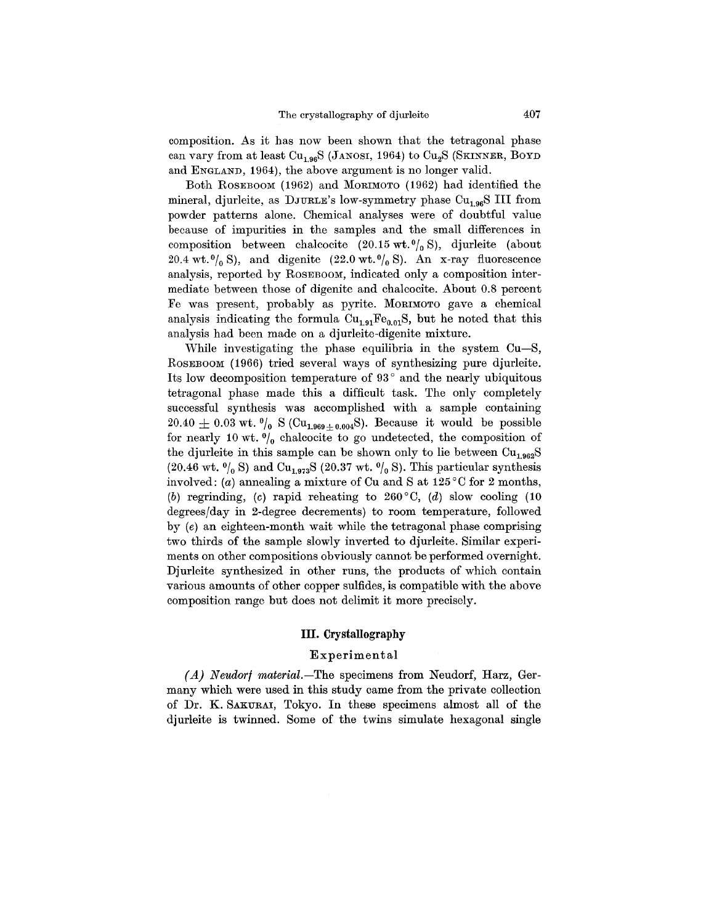composition. As it has now been shown that the tetragonal phase can vary from at least Cu<sub>1.96</sub>S (JANOSI, 1964) to Cu<sub>2</sub>S (SKINNER, BOYD and ENGLAND, 1964), the above argument is no longer valid.

Both ROSEBOOM (1962) and MORIMOTO (1962) had identified the mineral, djurleite, as DJURLE's low-symmetry phase Cu<sub>1.96</sub>S III from powder patterns alone. Chemical analyses were of doubtful value because of impurities in the samples and the small differences in composition between chalcocite  $(20.15 \text{ wt.}^0)_0 \text{ S}$ ), djurleite (about 20.4 wt.  $\binom{0}{0}$  S), and digenite (22.0 wt.  $\binom{0}{0}$  S). An x-ray fluorescence analysis, reported by ROSEBOOM, indicated only a composition intermediate between those of digenite and chalcocite. About 0.8 percent Fe was present, probably as pyrite. MORIMOTO gave a chemical analysis indicating the formula  $Cu_{1.91}Fe_{0.01}S$ , but he noted that this analysis had been made on a djurleite-digenite mixture.

While investigating the phase equilibria in the system Cu-S, ROSEBOOM (1966) tried several ways of synthesizing pure djurleite. Its low decomposition temperature of 93 ° and the nearly ubiquitous tetragonal phase made this a difficult task. The only completely successful synthesis was accomplished with a sample containing  $20.40 \pm 0.03$  wt.  $\frac{0}{0}$  S (Cu<sub>1.969</sub>\text<sub>0.004</sub>S). Because it would be possible for nearly 10 wt.  $\frac{0}{0}$  chalcocite to go undetected, the composition of the djurleite in this sample can be shown only to lie between  $Cu<sub>1.962</sub>S$ (20.46 wt.  $\binom{0}{0}$  S) and Cu<sub>1.973</sub>S (20.37 wt.  $\binom{0}{0}$  S). This particular synthesis involved: *(a)* annealing a mixture of Cu and S at  $125^{\circ}$ C for 2 months, *(b)* regrinding, *(c)* rapid reheating to 260°C, *(d)* slow cooling (10 degrees/day in 2-degree decrements) to room temperature, followed by *(e)* an eighteen-month wait while the tetragonal phase comprising two thirds of the sample slowly inverted to djurleite. Similar experiments on other compositions obviously cannot be performed overnight. Djurleite synthesized in other runs, the products of which contain various amounts of other copper sulfides, is compatible with the above composition range but does not delimit it more precisely.

# **III. Crystallography**

# Experimental

*(A) Neudorf material.-The* specimens from Neudorf, Harz, Germany which were used in this study came from the private collection of Dr. K. SAKURAI, Tokyo. In these specimens almost all of the djurleite is twinned. Some of the twins simulate hexagonal single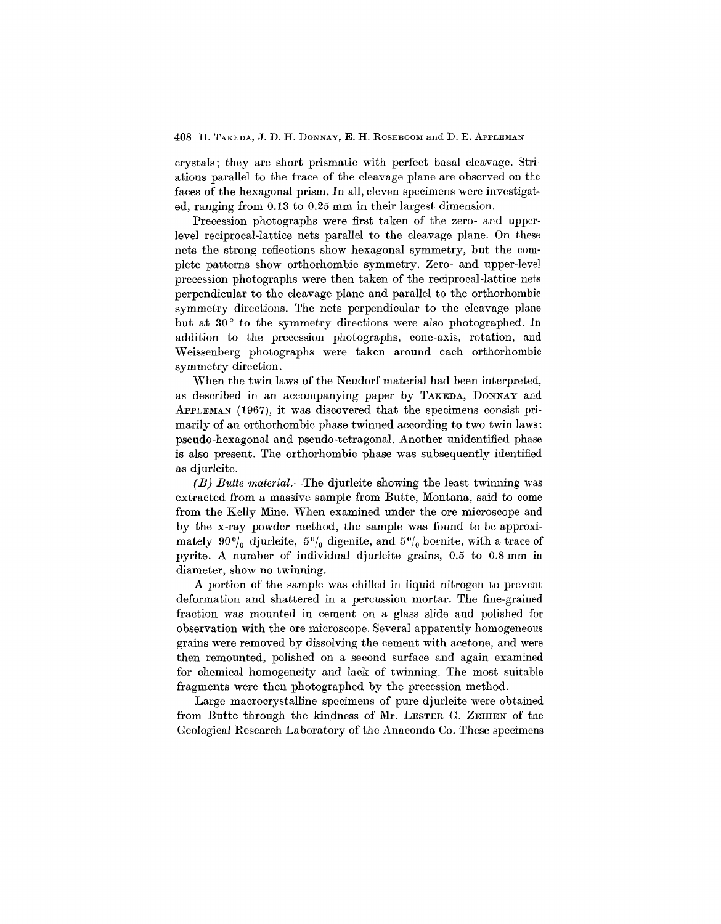## 408 H. TAKEDA, J. D. H. DONNAY, E. H. ROSEBOOM and D. E. APPLEMAN

crystals; they are short prismatic with perfect basal cleavage. Striations parallel to the trace of the cleavage plane are observed on the faces of the hexagonal prism. In all, eleven specimens were investigated, ranging from 0.13 to 0.25 mm in their largest dimension.

Precession photographs were first taken of the zero- and upperlevel reciprocal-lattice nets parallel to the cleavage plane. On these nets the strong reflections show hexagonal symmetry, but the complete patterns show orthorhombic symmetry. Zero- and upper-level precession photographs were then taken of the reciprocal -lattice nets perpendicular to the cleavage plane and parallel to the orthorhombic symmetry directions. The nets perpendicular to the cleavage plane but at 30 $^{\circ}$  to the symmetry directions were also photographed. In addition to the precession photographs, cone-axis, rotation, and Weissenberg photographs were taken around each orthorhombic symmetry direction.

When the twin laws of the Neudorf material had been interpreted, as described in an accompanying paper by TAKEDA, DONNAY and ApPLEMAN (1967), it was discovered that the specimens consist primarily of an orthorhombic phase twinned according to two twin laws: pseudo-hexagonal and pseudo-tetragonal. Another unidentified phase is also present. The orthorhombic phase was subsequently identified as djurleite.

*(B) Butte material.-The* djurIeite showing the least twinning was extracted from a massive sample from Butte, Montana, said to come from the Kelly Mine. When examined under the ore microscope and by the x-ray powder method, the sample was found to be approximately  $90\%$  djurleite,  $5\%$  digenite, and  $5\%$  bornite, with a trace of pyrite. A number of individual djurIeite grains, 0.5 to 0.8 mm in diameter, show no twinning.

A portion of the sample was chilled in liquid nitrogen to prevent deformation and shattered in a percussion mortar. The fine-grained fraction was mounted in cement on a glass slide and polished for observation with the ore microscope. Several apparently homogeneous grains were removed by dissolving the cement with acetone, and were then remounted, polished on a second surface and again examined for chemical homogeneity and lack of twinning. The most suitable fragments were then photographed by the precession method.

Large macrocrystalIine specimens of pure djurleite were obtained from Butte through the kindness of Mr. LESTER G. ZEIHEN of the Geological Research Laboratory of the Anaconda Co. These specimens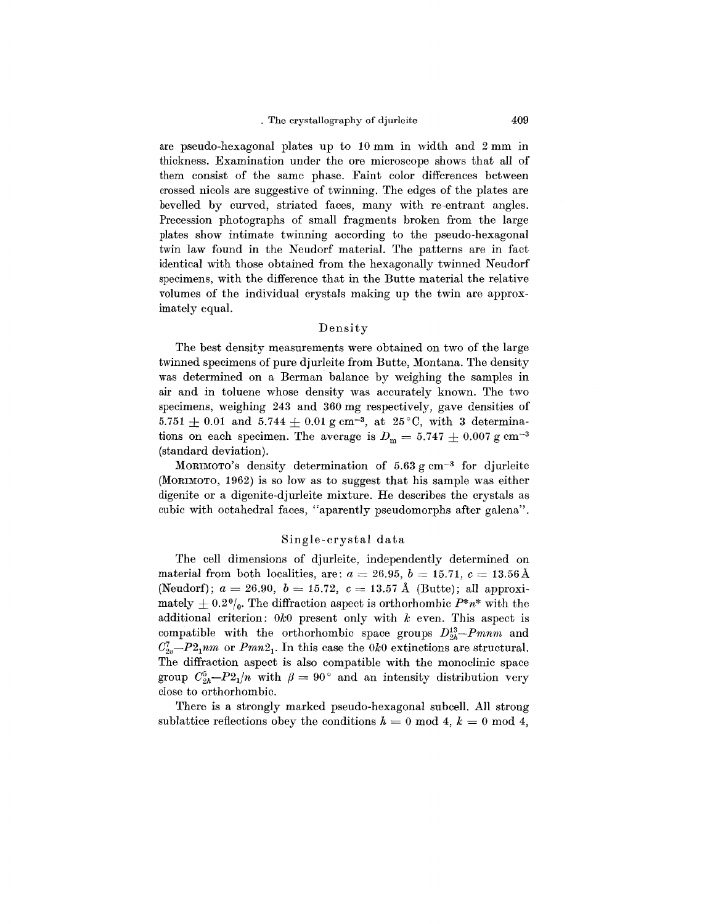are pseudo-hexagonal plates up to 10 mm in width and 2 mm in thickness. Examination under the ore microscope shows that all of them consist of the same phase. Faint color differences between crossed nicols are suggestive of twinning. The edges of the plates are bevelled by curved, striated faces, many with re-entrant angles. Precession photographs of small fragments broken from the large plates show intimate twinning according to the pseudo-hexagonal twin law found in the Neudorf material. The patterns are in fact identical with those obtained from the hexagonally twinned Neudorf specimens, with the difference that in the Butte material the relative volumes of the individual crystals making up the twin are approximately equal.

# Density

The best density measurements were obtained on two of the large twinned specimens of pure djurleite from Butte, Montana. The density was determined on a Berman balance by weighing the samples in air and in toluene whose density was accurately known. The two specimens, weighing 243 and 360 mg respectively, gave densities of 5.751  $\pm$  0.01 and 5.744  $\pm$  0.01 g cm<sup>-3</sup>, at 25°C, with 3 determinations on each specimen. The average is  $D_m = 5.747 \pm 0.007$  g cm<sup>-3</sup> (standard deviation).

MORIMOTO's density determination of  $5.63 \text{ g cm}^{-3}$  for djurleite (MORIMOTO,1962) is so low as to suggest that his sample was either digenite or a digenite-djurleite mixture. He describes the crystals as cubic with octahedral faces, "aparently pseudomorphs after galena".

## Single-crystal data

The cell dimensions of djurleite, independently determined on  $\text{material from both localities, are: } a = 26.95, \, b = 15.71, \, c = 13.56 \, \text{\AA}$  $(\text{Neudorf}); a = 26.90, b = 15.72, c = 13.57 \text{ Å} \text{ (Butte)}; \text{ all approx.}$ mately  $\pm$  0.2%. The diffraction aspect is orthorhombic  $P^*n^*$  with the additional criterion: *OkO* present only with *k* even. This aspect is compatible with the orthorhombic space groups  $D_{2h}^{13}-P_{mnm}$  and  $C_{2v}^7-P2_1nm$  or  $Pmn2_1$ . In this case the  $0k0$  extinctions are structural. The diffraction aspect is also compatible with the monoclinic space group  $C_{2h}^5-P_{21}/n$  with  $\beta=90^\circ$  and an intensity distribution very close to orthorhombic.

There is a strongly marked pseudo-hexagonal subcell. All strong sublattice reflections obey the conditions  $h = 0 \text{ mod } 4$ ,  $k = 0 \text{ mod } 4$ ,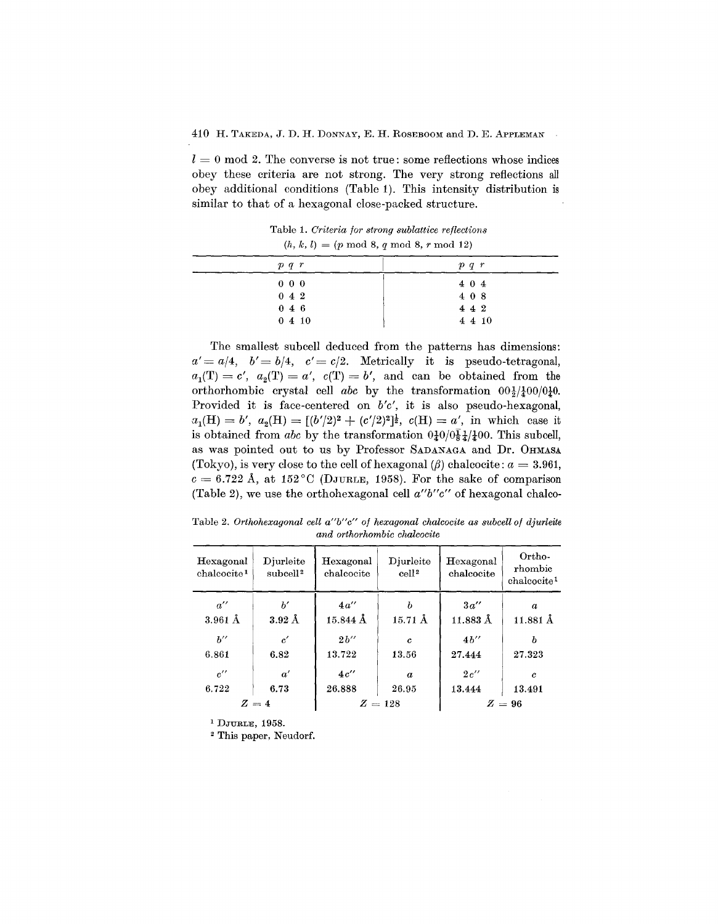$l = 0 \mod 2$ . The converse is not true: some reflections whose indices obey these criteria are not strong. The very strong reflections all obey additional conditions (Table 1). This intensity distribution is similar to that of a hexagonal close-packed structure.

Table 1. *Criteria for strong sublattice reflections*  $(h, k, l) = (p \mod 8, q \mod 8, r \mod 12)$ 

| p q r         | $p \, q \, r$ |
|---------------|---------------|
| $0\;\;0\;\;0$ | 404           |
| 042           | 408           |
| $0\;\;4\;\;6$ | 442           |
| 0410          | $4\;4\;10$    |

The smallest subcell deduced from the patterns has dimensions:  $a' = a/4$ ,  $b' = b/4$ ,  $c' = c/2$ . Metrically it is pseudo-tetragonal,  $a_1(T) = c'$ ,  $a_2(T) = a'$ ,  $c(T) = b'$ , and can be obtained from the orthorhombic crystal cell *abc* by the transformation  $00\frac{1}{2}/\frac{1}{2}00/0\frac{1}{2}0$ . Provided it is face-centered on *b'e',* it is also pseudo-hexagonal,  $a_1(H) = b'$ ,  $a_2(H) = [(b'/2)^2 + (c'/2)^2]^{\frac{1}{2}}$ ,  $c(H) = a'$ , in which case it is obtained from *abc* by the transformation  $0\frac{1}{4}0/0\frac{1}{8}\frac{1}{4}$  (400. This subcell, as was pointed out to us by Professor SADANAGA and Dr. OHMASA (Tokyo), is very close to the cell of hexagonal  $(\beta)$  chalcocite:  $a = 3.961$ ,  $c = 6.722$  Å, at  $152^{\circ}$ C (DJURLE, 1958). For the sake of comparison (Table 2), we use the orthohexagonal cell *a"b"e"* of hexagonal chalco-

Table 2. *Orthohexagonal cell a"b"c" of hexagonal chalcocite as sub cell of djurleite and orthorhombic chalcocite*

| Hexagonal<br>chalcocite <sup>1</sup>    | Djurleite<br>subcell <sup>2</sup> | Hexagonal<br>chalcocite                                  | Djurleite<br>cell <sup>2</sup> | Hexagonal<br>chalcocite        | Ortho-<br>rhombic<br>chalcocite <sup>1</sup> |
|-----------------------------------------|-----------------------------------|----------------------------------------------------------|--------------------------------|--------------------------------|----------------------------------------------|
| $a^{\prime\prime}$<br>$3.961 \text{ Å}$ | h'<br>$3.92~\text{\AA}$           | $4a^{\prime\prime}$<br>$15.844\,\ensuremath{\mbox{\AA}}$ | ь<br>$15.71 \text{ Å}$         | 3a''<br>$11.883$ $\AA$         | $\alpha$<br>$11.881 \,\AA$                   |
| $h^{\prime\prime}$                      | $\boldsymbol{c}'$                 | 2h''                                                     | c                              | $4b^{\prime\prime}$            | h                                            |
| 6.861<br>$c^{\prime\prime}$             | 6.82<br>$\alpha'$                 | 13.722<br>$4c^{\prime\prime}$                            | 13.56<br>$\alpha$              | 27.444<br>$2 c^{\prime\prime}$ | 27.323<br>c                                  |
| 6.722                                   | 6.73                              | 26.888                                                   | 26.95                          | 13.444                         | 13.491                                       |
| $Z=4$                                   |                                   | $Z=128$<br>$Z=96$                                        |                                |                                |                                              |

<sup>1</sup> DJURLE, 1958.

<sup>2</sup> This paper, Neudorf.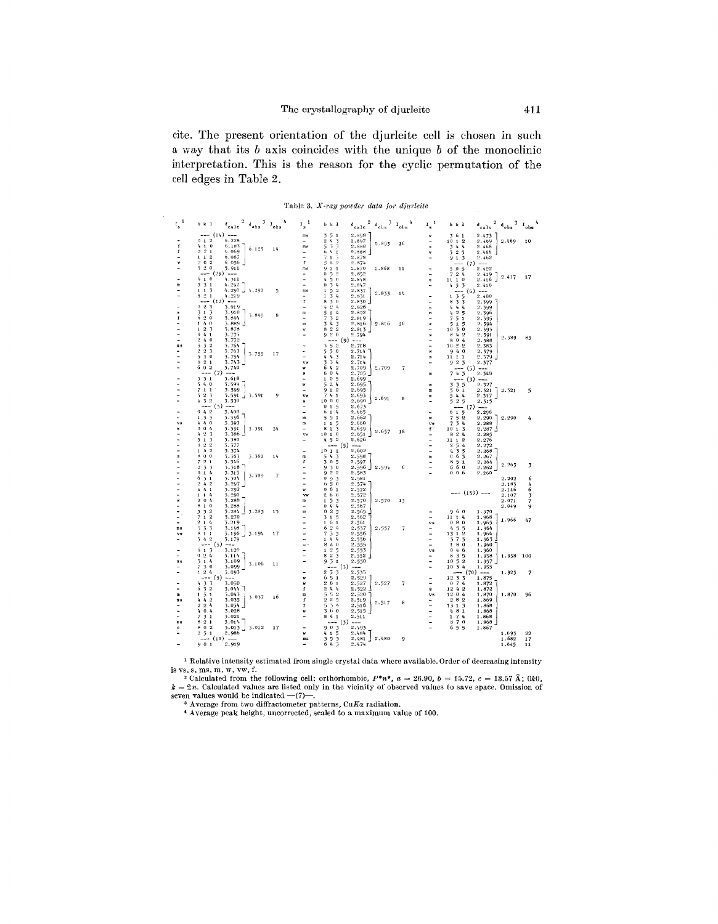cite. The present orientation of the djurIeite cell is chosen in such a way that its *b* axis coincides with the unique *b* of the monoclinic interpretation. This is the reason for the cyclic permutation of the cell edges in Table 2.

Table 3. *X-ray powder data lur djurleite*

| $\mathbf{I_s}^{-1}$<br>$^{\rm 3}$ $\rm I_{obs}$<br>$d_{\text{calc}}^2$ <sup>2</sup> $d_{\text{obs}}$<br>$\mathbf{I_{s}}^{-1}$<br>$^3$ $\rm\,r_{obs}$<br>$\rm ^d$ calc                                                                    | $d_{\text{calc}}^2$ $d_{\text{obs}}^3$ $I_{\text{obs}}$<br>$I_{\rm g}^{-1}$<br>h k 1                                                                                                                                                                                                                                                                                                                                                       |
|------------------------------------------------------------------------------------------------------------------------------------------------------------------------------------------------------------------------------------------|--------------------------------------------------------------------------------------------------------------------------------------------------------------------------------------------------------------------------------------------------------------------------------------------------------------------------------------------------------------------------------------------------------------------------------------------|
| $--- (14) ---$<br>2.898<br>ms<br>$\overline{\phantom{a}}$<br>5 <sub>1</sub><br>w                                                                                                                                                         | 361<br>2.473                                                                                                                                                                                                                                                                                                                                                                                                                               |
| $0 + 2$<br>6.228<br>$\overline{2}$<br>$t_{\rm f}$<br>2.897<br>3<br>÷,<br>2.893<br>16<br>$\pmb{0}$<br>6,183<br>$\overline{3}$<br>3<br>f<br>$4 - 1$<br>5<br>2.888<br>ms<br>$\mathbf{w}$                                                    | 2.469<br>1012<br>2.469<br>10<br>2.468<br>3<br>$I_{\rm B}$<br>4                                                                                                                                                                                                                                                                                                                                                                             |
| 6.125<br>1 <sub>b</sub><br>$2^{\circ}2$<br>0.069<br>Ť<br>6<br>2.886<br>1<br>$t_{\rm f}$<br>$\mathbf{1}$<br>w                                                                                                                             | $\bar{3}$ 2<br>5<br>2.466                                                                                                                                                                                                                                                                                                                                                                                                                  |
| 6.067<br>1 <sub>1</sub><br>$\overline{2}$<br>7<br>2.878<br>$\pmb{1}$<br>$\overline{5}$                                                                                                                                                   | 913<br>2.462                                                                                                                                                                                                                                                                                                                                                                                                                               |
| $\overline{2}$<br>$6.056$ ]<br>20<br>f<br>$\overline{2}$<br>2.874<br>54<br>520<br>5.911                                                                                                                                                  | $\frac{1}{2}$ $\frac{1}{2}$ $\frac{1}{2}$ $\frac{1}{4}$ $\frac{1}{2}$                                                                                                                                                                                                                                                                                                                                                                      |
| 9<br>$\mathbf{1}$<br>2.870<br>2.868<br>ms<br>$\mathbf{1}$<br>11<br>-- (29) ---<br>$\bullet$<br>$\mathbf 2$<br>2.852<br>5<br>ä,                                                                                                           | 2.422<br>7<br>24                                                                                                                                                                                                                                                                                                                                                                                                                           |
| ś<br>$6 + 0$<br>4.311<br>$\theta$<br>2.848<br>4<br>$\equiv$<br>$\bf{s}$                                                                                                                                                                  | $2.419$ ]<br>2.416<br>2.417<br>17<br>$1\quad0$<br>11                                                                                                                                                                                                                                                                                                                                                                                       |
| m<br>3<br>3 <sub>1</sub><br>4.292<br>$\mathbf{0}$<br>$\frac{t}{4}$<br>2.847<br>$\overline{3}$                                                                                                                                            | 4.5.3<br>2.410                                                                                                                                                                                                                                                                                                                                                                                                                             |
| 4.290<br>4.290<br>5<br>$\overline{2}$<br>$1\quad1$<br>$\overline{\mathbf{3}}$<br>5<br>$\mathbf{1}$<br>2.837<br>$\ln s$<br>2.833<br>1 <sub>1</sub>                                                                                        | --- (6) ---                                                                                                                                                                                                                                                                                                                                                                                                                                |
| 21<br>4.219<br>$\overline{3}$<br>$\frac{1}{4}$<br>5<br>$\mathbf{I}$<br>2.831<br>۰<br>- (12) ---<br>ſ<br>8<br>3<br>$\Omega$<br>$2.830$ $\pm$                                                                                              | $1 \t3 \t5$<br>2.400<br>8<br>2.399                                                                                                                                                                                                                                                                                                                                                                                                         |
| 0.2.3<br>3.919<br>$\mathfrak{Q}$<br>2.826<br>4<br>4<br>$\sim$<br>$\mathbf{s}$                                                                                                                                                            | 5 <sub>5</sub><br>4<br>44<br>2.399                                                                                                                                                                                                                                                                                                                                                                                                         |
| 51<br>3.910<br>3<br>5<br>$\pmb{1}$<br>4<br>2.822<br>×<br>m<br>m<br>5.899<br>8                                                                                                                                                            | $\mathbf 2$<br>5<br>2.396<br>$t_{\rm f}$                                                                                                                                                                                                                                                                                                                                                                                                   |
| f<br>6<br>$\overline{2}$<br>$\mathbf{0}$<br>3.894<br>$\overline{7}$<br>$\boldsymbol{2}$<br>2.819<br>5<br>$\blacksquare$<br>$\overline{\phantom{0}}$                                                                                      | $\overline{\phantom{a}}$<br>5<br>ì<br>2.395                                                                                                                                                                                                                                                                                                                                                                                                |
| $1 - h$<br>3.889<br>$\frac{1}{4}$<br>$\boldsymbol{0}$<br>$\overline{\mathbf{3}}$<br>$\overline{\mathbf{3}}$<br>2, 816<br>2.816<br>$10\,$<br>m<br>w                                                                                       | 5<br>5<br>$\mathbf 1$<br>2.394                                                                                                                                                                                                                                                                                                                                                                                                             |
| 1 <sub>2</sub><br>$\overline{3}$<br>5.878<br>82<br>$\overline{2}$<br>2.813<br>w<br>920<br>3.775<br>2.794<br>÷<br>0.4.1<br>s                                                                                                              | 10<br>$-50$<br>2.393<br>8<br>42<br>2.391                                                                                                                                                                                                                                                                                                                                                                                                   |
| 240<br>(9)<br>3.772<br>٠<br>$---$                                                                                                                                                                                                        | 2.389<br>85<br>804<br>2.388                                                                                                                                                                                                                                                                                                                                                                                                                |
| 3<br>3 <sup>2</sup><br>552<br>2.718<br>3.764<br>øs.<br>$\ddot{\phantom{1}}$                                                                                                                                                              | $10^{o}2^{o}2$<br>2.383                                                                                                                                                                                                                                                                                                                                                                                                                    |
| $2\,2\,3$<br>3.763<br>550<br>2.714<br>$\mathbf{w}$<br>3.755<br>17                                                                                                                                                                        | 940<br>2.379                                                                                                                                                                                                                                                                                                                                                                                                                               |
| 5<br>$\overline{\phantom{a}}$<br>$\theta$<br>3.754<br>$\mathbf{r}_\mathrm{c}$<br>$\ddot{\phantom{a}}$<br>$\overline{5}$<br>2.714<br>$\mathbf{a}$<br>6                                                                                    | 11111<br>2.379                                                                                                                                                                                                                                                                                                                                                                                                                             |
| $\overline{2}$<br>$\mathbf{1}$<br>3.743<br>3<br>$\overline{3}$<br>4<br>2.714<br>VΜ<br>60<br>$\overline{\mathbf{2}}$<br>3.740<br>6<br>$\pmb{t_i}$<br>$\overline{\mathbf{2}}$<br>2.709<br>2.709<br>7<br>w                                  | 923<br>2.377                                                                                                                                                                                                                                                                                                                                                                                                                               |
| $--- (7) ---$<br>$\pmb{0}$<br>6<br>4<br>2.705<br>8<br>$\mathbf m$                                                                                                                                                                        | --- (5) ---<br>743<br>2.348                                                                                                                                                                                                                                                                                                                                                                                                                |
| 3.618<br>5.31<br>$\theta$<br>2.699<br>$\mathbf{1}$<br>5<br>٠                                                                                                                                                                             | - (3) ---                                                                                                                                                                                                                                                                                                                                                                                                                                  |
| $\mathbf 0$<br>3.599<br>$5^{\circ}$ 2<br>34<br>4<br>2.695<br>w<br>w                                                                                                                                                                      | 3 3 5<br>2.327                                                                                                                                                                                                                                                                                                                                                                                                                             |
| 7 <sub>1</sub><br>$\mathbf{1}$<br>3.599<br>9<br>$\overline{2}$<br>2.695<br>$\mathbf{I}$<br>$\blacksquare$<br>52<br>$\overline{3}$<br>3.591<br>3.591<br>9<br>$\overline{7}$<br>4<br>$\mathbf 1$<br>2.693<br>vw                            | 561<br>2.321<br>2.321<br>5<br>544<br>2.317                                                                                                                                                                                                                                                                                                                                                                                                 |
| $\mathbf w$<br>- 1<br>2.691<br>8<br>$4 - 3 = 2$<br>1000<br>3.530<br>2,690<br>$\bf{s}$                                                                                                                                                    | 525<br>2.315                                                                                                                                                                                                                                                                                                                                                                                                                               |
| --- (5) ---<br>$\pmb{0}$<br>$\mathbf{1}$<br>5<br>2.673<br>$\overline{\phantom{0}}$                                                                                                                                                       | ---(7)---                                                                                                                                                                                                                                                                                                                                                                                                                                  |
| 042<br>3.400<br>6<br>2.665<br>۳<br>$\mathbf{1}$<br>4<br>$\overline{\phantom{0}}$                                                                                                                                                         | 6 1 5<br>2.296                                                                                                                                                                                                                                                                                                                                                                                                                             |
| 3.396<br>2.662<br>1.3<br>$\overline{2}$<br>5<br>5<br>$\pmb{1}$<br>$\mathbf{m}$<br>w<br>r.                                                                                                                                                | $\overline{\phantom{a}}$<br>5 <sup>2</sup><br>2.290<br>2.290<br>4                                                                                                                                                                                                                                                                                                                                                                          |
| $\boldsymbol{h}$<br>$\bf{0}$<br>3.393<br>2.660<br>$v_{\rm B}$<br>m<br>$1\quad1$<br>5<br>0<br>$\bf{0}$<br>4<br>3.391<br>3.391<br>8<br>$\mathbf{1}$<br>$\overline{3}$<br>2.659<br>34<br>f<br>¥                                             | 3 <sub>4</sub><br>7<br>2.288<br>y's<br>10<br>1 <sub>5</sub><br>2.287                                                                                                                                                                                                                                                                                                                                                                       |
| 2.657<br>18<br>$\mathbf{2}$<br>3<br>3.386<br>10<br>$\bf{0}$<br>4<br>vw<br>$\pmb{\mathsf{1}}$<br>2.651                                                                                                                                    | $\mathbf{2}% =\mathbf{2}+\mathbf{2}+\mathbf{3}+\mathbf{5}+\mathbf{5}+\mathbf{5}+\mathbf{6}+\mathbf{6}+\mathbf{5}+\mathbf{6}+\mathbf{6}+\mathbf{5}+\mathbf{6}+\mathbf{6}+\mathbf{5}+\mathbf{6}+\mathbf{6}+\mathbf{5}+\mathbf{6}+\mathbf{6}+\mathbf{6}+\mathbf{6}+\mathbf{6}+\mathbf{6}+\mathbf{6}+\mathbf{6}+\mathbf{6}+\mathbf{6}+\mathbf{6}+\mathbf{6}+\mathbf{6}+\mathbf{6}+\mathbf{6}+\mathbf{6}+\mathbf{6}+\mathbf$<br>8<br>4<br>2.285 |
| 52<br>3<br>3,380<br>5<br>$\mathbf{1}$<br>4<br>2.626                                                                                                                                                                                      | $\boldsymbol{2}$<br>2.276<br>11<br>$\mathbf{1}$                                                                                                                                                                                                                                                                                                                                                                                            |
| $\overline{6}$<br>$\overline{2}$<br>3.377<br>- (5)<br>$\overline{2}$<br>$\sim$                                                                                                                                                           | 54<br>$\overline{\mathbf{2}}$<br>2.272                                                                                                                                                                                                                                                                                                                                                                                                     |
| $1 - 4 - 2$<br>2,602<br>3.374<br>1011<br>÷<br>s<br>80<br>$\bf{0}$<br>3.363<br>3.360<br>54<br>2.598<br>14<br>m                                                                                                                            | 4<br>$\overline{3}$<br>5<br>2,268<br>0<br>6<br>$\overline{3}$<br>2.267                                                                                                                                                                                                                                                                                                                                                                     |
| 3<br>m<br>721<br>50<br>5<br>3.346<br>f<br>2.597                                                                                                                                                                                          | 8<br>51<br>2.264                                                                                                                                                                                                                                                                                                                                                                                                                           |
| 2, 3, 3<br>30<br>3.318<br>9<br>2.596<br>2.594<br>÷<br>6<br>$\overline{a}$                                                                                                                                                                | 2.263<br>3<br>6<br>60<br>2.262                                                                                                                                                                                                                                                                                                                                                                                                             |
| 922<br>$\overline{a}$<br>014<br>3.315<br>2.583<br>۳<br>3.309<br>7                                                                                                                                                                        | 006<br>2.260                                                                                                                                                                                                                                                                                                                                                                                                                               |
| $\overline{2}$<br>6<br>31<br>3.304<br>$\theta$<br>3<br>2.581<br>u,<br>242<br>6<br>$\mathbf 0$<br>٠                                                                                                                                       | 2.202<br>6                                                                                                                                                                                                                                                                                                                                                                                                                                 |
| 3.297<br>5<br>2.574<br>6<br>$4 - 4$<br>$\overline{1}$<br>3.292<br>$\bf{0}$<br>2.572<br>$\mathbf{1}$<br>w                                                                                                                                 | 2.183<br>4<br>2.146<br>6                                                                                                                                                                                                                                                                                                                                                                                                                   |
| $\frac{1}{2}$<br>3.290<br>$\overline{\mathbf{2}}$<br>$1\quad1$<br>4<br>6<br>$\bf{o}$<br>2.572<br>v.                                                                                                                                      | $--- (159) ---$<br>2.107                                                                                                                                                                                                                                                                                                                                                                                                                   |
| 3.288<br>5<br>2.570<br>w<br>$\overline{2}$<br>$\bf{0}$<br>4<br>$\mathbf 1$<br>$\overline{3}$<br>2.570<br>m<br>13                                                                                                                         | $\frac{3}{7}$<br>2.071                                                                                                                                                                                                                                                                                                                                                                                                                     |
| 8<br>$\theta$<br>3.288<br>4<br>$\pmb{\upsilon}$<br>2.567<br>٠<br>$\mathbf{1}$<br>4                                                                                                                                                       | 2.049<br>9                                                                                                                                                                                                                                                                                                                                                                                                                                 |
| $\overline{2}$<br>5<br>$\overline{2}$<br>3.284<br>3.283<br>$\mathbf{0}$<br>5<br>2.565<br>$\overline{\phantom{a}}$<br>1 <sub>5</sub><br>œ<br>-<br>7<br>$\overline{2}$<br>3.270<br>5<br>2.562<br>$\pmb{\mathfrak{1}}$<br>3<br>$\mathbf{1}$ | 960<br>1.970<br>1.968<br>11, 14                                                                                                                                                                                                                                                                                                                                                                                                            |
| 2 <sub>1</sub><br>$\mathbf{A}$<br>3.219<br>6<br>$\mathbf{1}$<br>2.561<br>$\mathbf{1}$                                                                                                                                                    | 1.966<br>47<br>$\mathbf 0$<br>8<br>$\bf{0}$<br>1.965<br>vs.                                                                                                                                                                                                                                                                                                                                                                                |
| $\, 2$<br>$\overline{3}$<br>3.198<br>-<br>æs<br>3<br>$\overline{3}$<br>6<br>4<br>2.557<br>2.557<br>7                                                                                                                                     | $\overline{5}$<br>1.964<br>4<br>5                                                                                                                                                                                                                                                                                                                                                                                                          |
| 3.196<br>$\overline{\mathbf{r}}$<br>$\overline{3}$<br>$\overline{5}$<br>811<br>3.194<br>2.556<br>17<br>$\blacksquare$<br><b>YY</b>                                                                                                       | $\overline{2}$<br>1.964<br>131                                                                                                                                                                                                                                                                                                                                                                                                             |
| 342<br>3.179<br>$1\!-\!4$<br>$\mathbf{r}_t$<br>2.556<br>ä,<br>۰                                                                                                                                                                          |                                                                                                                                                                                                                                                                                                                                                                                                                                            |
|                                                                                                                                                                                                                                          | $\overline{3}$<br>1.963<br>57                                                                                                                                                                                                                                                                                                                                                                                                              |
| --- (5)<br>Ξ,<br>8<br>$\Lambda$<br>$\theta$<br>2.555<br>$-$                                                                                                                                                                              | 180<br>1.960                                                                                                                                                                                                                                                                                                                                                                                                                               |
| 613<br>3.120<br>$\overline{\mathbf{2}}$<br>$\mathbf{1}$<br>2.553<br>8 <sub>2</sub><br>0, 2, 4<br>3.114<br>2.552                                                                                                                          | $\pmb{0}$<br>46<br>1.960<br>vs.<br>$\bf8$<br>$\overline{\mathbf{3}}$<br>5<br>100                                                                                                                                                                                                                                                                                                                                                           |
| $\frac{5}{3}$<br>51<br>3<br>1.4<br>3.109<br>9<br>ms<br>2.550                                                                                                                                                                             | 1.958<br>1.958<br>$5\overline{2}$<br>10<br>1.957                                                                                                                                                                                                                                                                                                                                                                                           |
| 3.106<br>11<br>30<br>3.099<br>7<br>$-$ (3)<br>$-$                                                                                                                                                                                        | 10<br>34<br>1.955                                                                                                                                                                                                                                                                                                                                                                                                                          |
| 24<br>3.093<br>2.535<br>$\mathbf{1}$                                                                                                                                                                                                     | $--- (70)$ $---$<br>1.925<br>$\overline{\phantom{a}}$                                                                                                                                                                                                                                                                                                                                                                                      |
| $\begin{smallmatrix}2&5&3\\6&5&1\end{smallmatrix}$<br>--- (5) ---<br>2.529<br>w                                                                                                                                                          | 12<br>1.875                                                                                                                                                                                                                                                                                                                                                                                                                                |
| $2\,$ 6<br>3.050<br>2.527<br>2.527<br>$\overline{7}$<br>4<br>w<br>$\mathbf{1}$<br>24<br>3.044<br>f<br>6<br>Ą<br>2.522<br>9                                                                                                               | $\frac{3}{7}$ $\frac{3}{4}$<br>$\bf{0}$<br>1,872<br>12 4 2<br>1,872                                                                                                                                                                                                                                                                                                                                                                        |
| $\begin{smallmatrix}3 & 3\\ 3 & 2\end{smallmatrix}$<br>3.043<br>5<br>52<br>$\overline{5}$<br>2.520<br>m<br>$\mathbf{1}$<br>$\mathbf{1}$<br>m                                                                                             | 1204<br>1.870<br>1.870<br>96<br>$\mathbf{v}$ s                                                                                                                                                                                                                                                                                                                                                                                             |
| 3.037<br>16<br>$2^{+2}$ 5<br>3.035<br>f<br>2.519<br>42<br>4<br>ងន<br>2.517<br>8                                                                                                                                                          | 282<br>1.869                                                                                                                                                                                                                                                                                                                                                                                                                               |
| 3.034<br>5.<br>34<br>2, 2, 4<br>f<br>2.516                                                                                                                                                                                               | 13 1 3<br>1.868                                                                                                                                                                                                                                                                                                                                                                                                                            |
| 0 <sub>4</sub><br>3.028<br>360<br>4<br>2.515<br>w<br>3.021<br>841<br>7<br>31                                                                                                                                                             | 8 <sub>1</sub><br>1.868<br>4<br>1.868                                                                                                                                                                                                                                                                                                                                                                                                      |
| 2.511<br>8<br>$\overline{\mathbf{2}}$<br>$\mathbf{1}$<br>3.014<br><b>ma</b><br>--- (3) ---                                                                                                                                               | $\mathbf 1$<br>$\begin{array}{cc} 7 & 4 \\ 7 & 0 \end{array}$<br>1.868<br>8                                                                                                                                                                                                                                                                                                                                                                |
| 903<br>5.012<br>2.493<br>802<br>3.013<br>17                                                                                                                                                                                              | 6<br>55<br>1.867                                                                                                                                                                                                                                                                                                                                                                                                                           |
| 2.986<br>2, 5, 1<br>5<br>2.484<br>4<br>$\mathbf 1$<br>w<br>5<br>$\overline{\mathbf{z}}$<br>$2.481$ $2.480$<br>$---(10) ---$<br>9<br>mя<br>5                                                                                              | 1.693<br>22<br>1.682<br>17                                                                                                                                                                                                                                                                                                                                                                                                                 |

<sup>1</sup> Relative intensity estimated from single crystal data where available. Order of decreasing intensi is vs, s, ms, m, w, vw, f.<br><sup>2</sup> Calculated from the following cell: orthorhombic,  $P^*n^*$ ,  $a = 26.90$ ,  $b = 15.72$ ,  $c = 13.57 \text{ Å}$ ;  $0k0$ ,

 $k = 2n$ . Calculated values are listed only in the vicinity of observed values to save space. Omission of  $k = 2n$ . Calculated values are listed only in the vicinity of observed values to save space. Omission of seven values would be indicated —(7)—.<br><sup>3</sup> Average from two diffractometer patterns, CuKx radiation.<br><sup>4</sup> Average peak height, uncorrected, scaled to a maximum value of 100.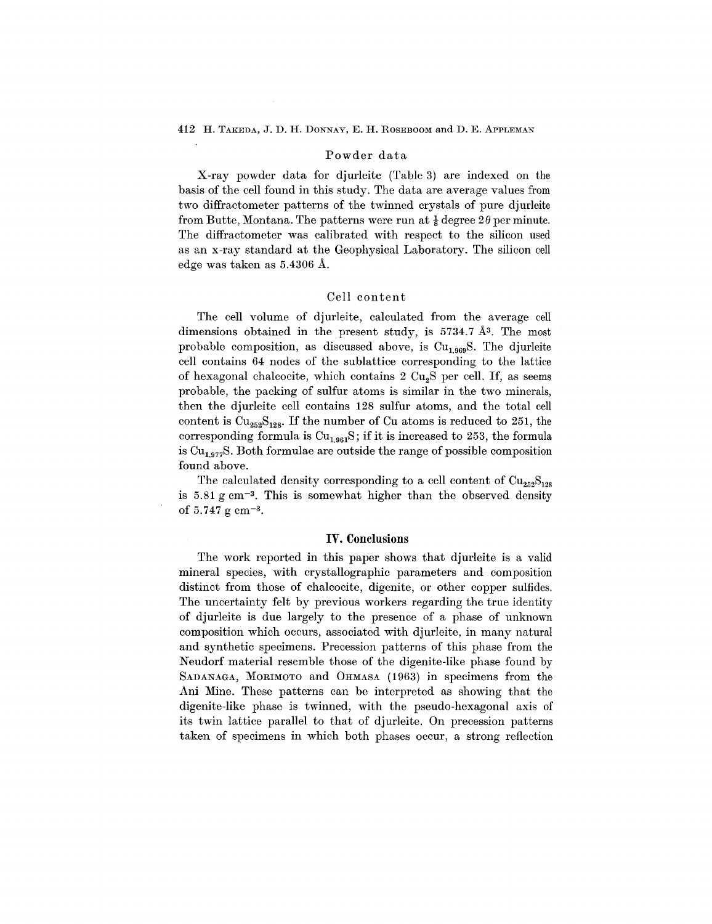# Powder data

X-ray powder data for djurleite (Table 3) are indexed on the basis of the cell found in this study. The data are average values from two diffractometer patterns of the twinned crystals of pure djurleite from Butte, Montana. The patterns were run at  $\frac{1}{8}$  degree  $2\theta$  per minute. The diffractometer was calibrated with respect to the silicon used as an x-ray standard at the Geophysical Laboratory. The silicon cell edge was taken as 5.4306 A.

# Cell content

The cell volume of djurleite, calculated from the average cell dimensions obtained in the present study, is 5734.7 Å<sup>3</sup>. The most probable composition, as discussed above, is  $Cu<sub>1.969</sub>S$ . The djurleite cell contains 64 nodes of the sublattice corresponding to the lattice of hexagonal chalcocite, which contains  $2 \text{ Cu}_2\text{S}$  per cell. If, as seems probable, the packing of sulfur atoms is similar in the two minerals, then the djurleite cell contains 128 sulfur atoms, and the total cell content is  $\text{Cu}_{252}\text{S}_{128}$ . If the number of Cu atoms is reduced to 251, the corresponding formula is  $Cu<sub>1.961</sub>S$ ; if it is increased to 253, the formula is  $Cu<sub>1.977</sub>S$ . Both formulae are outside the range of possible composition found above.

The calculated density corresponding to a cell content of  $\text{Cu}_{252}\text{S}_{128}$ is 5.81 g cm-3. This is somewhat higher than the observed density of  $5.747 \text{ g cm}^{-3}$ .

# **IV. Conclusions**

The work reported in this paper shows that djurleite is a valid mineral species, with crystallographic parameters and composition distinct from those of chalcocite, digenite, or other copper sulfides. The uncertainty felt by previous workers regarding the true identity of djurleite is due largely to the presence of a phase of unknown composition which occurs, associated with djurleite, in many natural and synthetic specimens. Precession patterns of this phase from the Neudorf material resemble those of the digenite-like phase found by SADANAGA, MORIMOTO and OHMASA (1963) in specimens from the Ani Mine. These patterns can be interpreted as showing that the digenite-like phase is twinned, with the pseudo-hexagonal axis of its twin lattice parallel to that of djurleite. On precession patterns taken of specimens in which both phases occur, a strong reflection